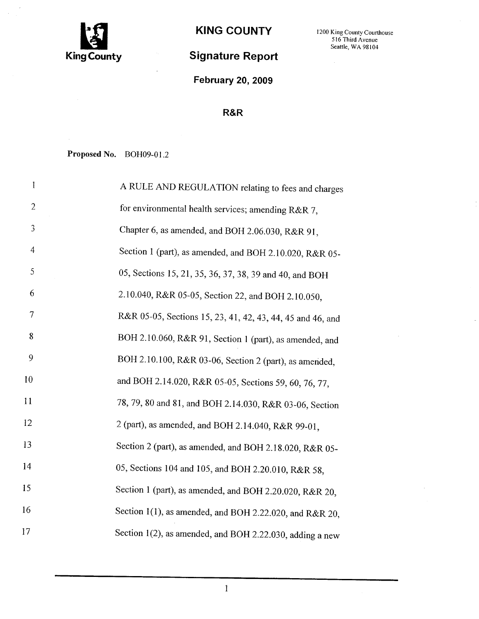

# Signature Report

February 20, 2009

### R&R

Proposed No. BOH09-01.2

| 1              | A RULE AND REGULATION relating to fees and charges         |
|----------------|------------------------------------------------------------|
| $\overline{2}$ | for environmental health services; amending R&R 7,         |
| $\mathfrak{Z}$ | Chapter 6, as amended, and BOH 2.06.030, R&R 91,           |
| $\overline{4}$ | Section 1 (part), as amended, and BOH 2.10.020, R&R 05-    |
| 5              | 05, Sections 15, 21, 35, 36, 37, 38, 39 and 40, and BOH    |
| 6              | 2.10.040, R&R 05-05, Section 22, and BOH 2.10.050,         |
| 7              | R&R 05-05, Sections 15, 23, 41, 42, 43, 44, 45 and 46, and |
| 8              | BOH 2.10.060, R&R 91, Section 1 (part), as amended, and    |
| 9              | BOH 2.10.100, R&R 03-06, Section 2 (part), as amended,     |
| 10             | and BOH 2.14.020, R&R 05-05, Sections 59, 60, 76, 77,      |
| 11             | 78, 79, 80 and 81, and BOH 2.14.030, R&R 03-06, Section    |
| 12             | 2 (part), as amended, and BOH 2.14.040, R&R 99-01,         |
| 13             | Section 2 (part), as amended, and BOH 2.18.020, R&R 05-    |
| 14             | 05, Sections 104 and 105, and BOH 2.20.010, R&R 58,        |
| 15             | Section 1 (part), as amended, and BOH 2.20.020, R&R 20,    |
| 16             | Section 1(1), as amended, and BOH 2.22.020, and R&R 20,    |
| 17             | Section 1(2), as amended, and BOH 2.22.030, adding a new   |

KING COUNTY 1200 King County Courthouse Seattle, WA 98104

i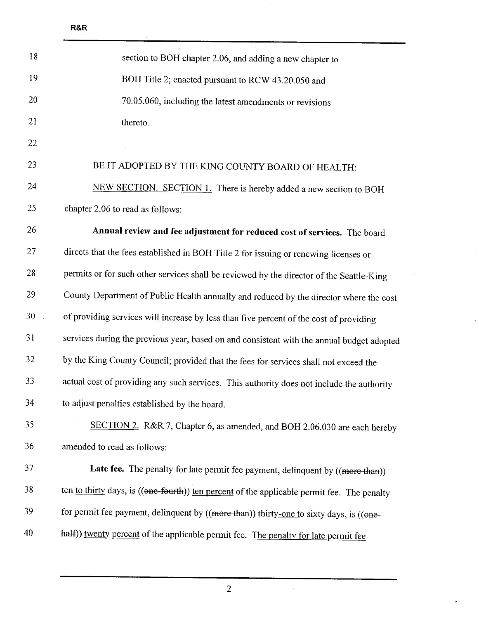| 18 | section to BOH chapter 2.06, and adding a new chapter to                                    |
|----|---------------------------------------------------------------------------------------------|
| 19 | BOH Title 2; enacted pursuant to RCW 43.20.050 and                                          |
| 20 | 70.05.060, including the latest amendments or revisions                                     |
| 21 | thereto.                                                                                    |
| 22 |                                                                                             |
| 23 | BE IT ADOPTED BY THE KING COUNTY BOARD OF HEALTH:                                           |
| 24 | NEW SECTION. SECTION 1. There is hereby added a new section to BOH                          |
| 25 | chapter 2.06 to read as follows:                                                            |
| 26 | Annual review and fee adjustment for reduced cost of services. The board                    |
| 27 | directs that the fees established in BOH Title 2 for issuing or renewing licenses or        |
| 28 | permits or for such other services shall be reviewed by the director of the Seattle-King    |
| 29 | County Department of Public Health annually and reduced by the director where the cost      |
| 30 | of providing services will increase by less than five percent of the cost of providing      |
| 31 | services during the previous year, based on and consistent with the annual budget adopted   |
| 32 | by the King County Council; provided that the fees for services shall not exceed the        |
| 33 | actual cost of providing any such services. This authority does not include the authority   |
| 34 | to adjust penalties established by the board.                                               |
| 35 | SECTION 2. R&R 7, Chapter 6, as amended, and BOH 2.06.030 are each hereby                   |
| 36 | amended to read as follows:                                                                 |
| 37 | Late fee. The penalty for late permit fee payment, delinquent by ((more than))              |
| 38 | ten to thirty days, is ((one-fourth)) ten percent of the applicable permit fee. The penalty |
| 39 | for permit fee payment, delinquent by ((more than)) thirty-one to sixty days, is ((one-     |
| 40 | half)) twenty percent of the applicable permit fee. The penalty for late permit fee         |

2

 $\hat{\boldsymbol{\beta}}$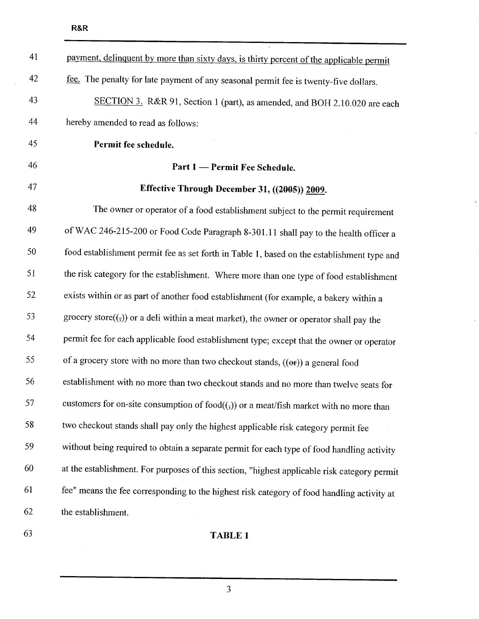| 41 | payment, delinquent by more than sixty days, is thirty percent of the applicable permit      |
|----|----------------------------------------------------------------------------------------------|
| 42 | fee. The penalty for late payment of any seasonal permit fee is twenty-five dollars.         |
| 43 | SECTION 3. R&R 91, Section 1 (part), as amended, and BOH 2.10.020 are each                   |
| 44 | hereby amended to read as follows:                                                           |
| 45 | Permit fee schedule.                                                                         |
| 46 | Part 1 - Permit Fee Schedule.                                                                |
| 47 | Effective Through December 31, ((2005)) 2009.                                                |
| 48 | The owner or operator of a food establishment subject to the permit requirement              |
| 49 | of WAC 246-215-200 or Food Code Paragraph 8-301.11 shall pay to the health officer a         |
| 50 | food establishment permit fee as set forth in Table 1, based on the establishment type and   |
| 51 | the risk category for the establishment. Where more than one type of food establishment      |
| 52 | exists within or as part of another food establishment (for example, a bakery within a       |
| 53 | grocery store( $(5)$ ) or a deli within a meat market), the owner or operator shall pay the  |
| 54 | permit fee for each applicable food establishment type; except that the owner or operator    |
| 55 | of a grocery store with no more than two checkout stands, $((\Theta F))$ a general food      |
| 56 | establishment with no more than two checkout stands and no more than twelve seats for        |
| 57 | customers for on-site consumption of food $((\tau))$ or a meat/fish market with no more than |
| 58 | two checkout stands shall pay only the highest applicable risk category permit fee           |
| 59 | without being required to obtain a separate permit for each type of food handling activity   |
| 60 | at the establishment. For purposes of this section, "highest applicable risk category permit |
| 61 | fee" means the fee corresponding to the highest risk category of food handling activity at   |
| 62 | the establishment.                                                                           |
| 63 | <b>TABLE 1</b>                                                                               |
|    |                                                                                              |

3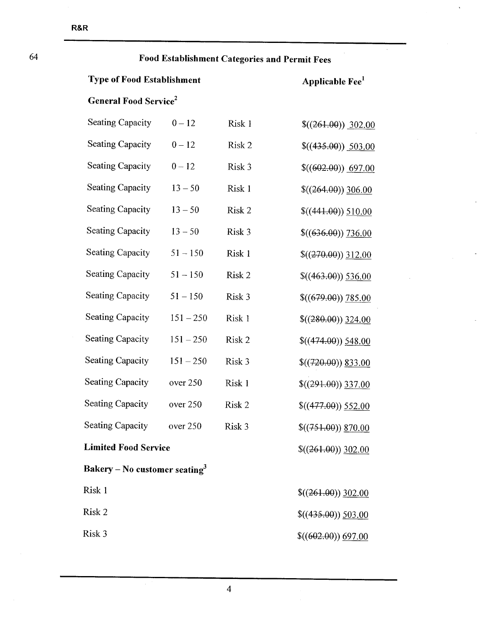| 64 |                                           | Food Establishment Categories and Permit Fees |        |                               |  |  |
|----|-------------------------------------------|-----------------------------------------------|--------|-------------------------------|--|--|
|    | <b>Type of Food Establishment</b>         |                                               |        | Applicable Fee <sup>1</sup>   |  |  |
|    | <b>General Food Service</b> <sup>2</sup>  |                                               |        |                               |  |  |
|    | <b>Seating Capacity</b>                   | $0 - 12$                                      | Risk 1 | $$(261.00)$ 302.00            |  |  |
|    | Seating Capacity                          | $0 - 12$                                      | Risk 2 | $\frac{\$((435.00))}{503.00}$ |  |  |
|    | <b>Seating Capacity</b>                   | $0 - 12$                                      | Risk 3 | \$(602.00) 697.00             |  |  |
|    | <b>Seating Capacity</b>                   | $13 - 50$                                     | Risk 1 | $$(264.00))$ 306.00           |  |  |
|    | <b>Seating Capacity</b>                   | $13 - 50$                                     | Risk 2 | \$(441.00) 510.00             |  |  |
|    | <b>Seating Capacity</b>                   | $13 - 50$                                     | Risk 3 | \$(636.00) 736.00             |  |  |
|    | <b>Seating Capacity</b>                   | $51 - 150$                                    | Risk 1 | \$(270.00) 312.00             |  |  |
|    | <b>Seating Capacity</b>                   | $51 - 150$                                    | Risk 2 | $$(463.00)$ 536.00            |  |  |
|    | <b>Seating Capacity</b>                   | $51 - 150$                                    | Risk 3 | \$(679.00) 785.00             |  |  |
|    | <b>Seating Capacity</b>                   | $151 - 250$                                   | Risk 1 | $$((280.00))$ 324.00          |  |  |
|    | <b>Seating Capacity</b>                   | $151 - 250$                                   | Risk 2 | $$(474.00)$ $548.00$          |  |  |
|    | <b>Seating Capacity</b>                   | $151 - 250$                                   | Risk 3 | $$(720.00)$ 833.00            |  |  |
|    | <b>Seating Capacity</b>                   | over 250                                      | Risk 1 | $$(291.00)$ 337.00            |  |  |
|    | <b>Seating Capacity</b>                   | over 250                                      | Risk 2 | $$(477.00)$ 552.00            |  |  |
|    | <b>Seating Capacity</b>                   | over 250                                      | Risk 3 | $$(751.00)$ 870.00            |  |  |
|    | <b>Limited Food Service</b>               |                                               |        | $$(261.00)$ 302.00            |  |  |
|    | Bakery – No customer seating <sup>3</sup> |                                               |        |                               |  |  |
|    | Risk 1                                    |                                               |        | $$(261.00)$ 302.00            |  |  |
|    | Risk 2                                    |                                               |        | $$((435.00))$ 503.00          |  |  |
|    | Risk 3                                    |                                               |        | \$(602.00) 697.00             |  |  |

 $\overline{\phantom{a}}$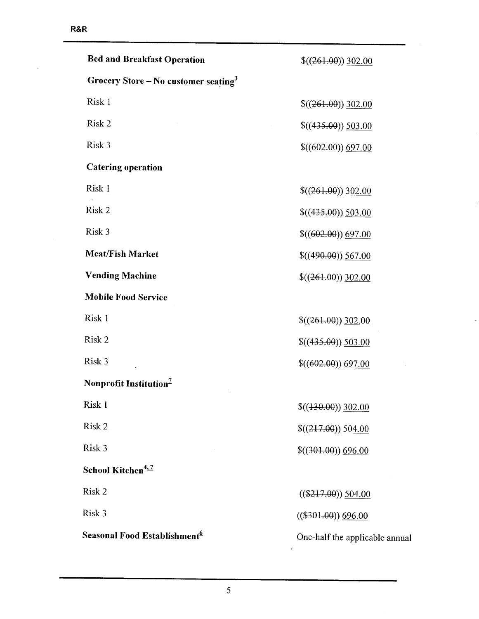l,

| <b>Bed and Breakfast Operation</b>               | $$(261.00)$ 302.00             |
|--------------------------------------------------|--------------------------------|
| Grocery Store – No customer seating <sup>3</sup> |                                |
| Risk 1                                           | $$(261.00)$ 302.00             |
| Risk 2                                           | \$(435.00) 503.00              |
| Risk 3                                           | \$(602.00) 697.00              |
| <b>Catering operation</b>                        |                                |
| Risk 1                                           | $$(261.00)$ 302.00             |
| Risk 2                                           | $$(435.00)$ 503.00             |
| Risk 3                                           | \$(602.00) 697.00              |
| <b>Meat/Fish Market</b>                          | $$(490.00)$ 567.00             |
| <b>Vending Machine</b>                           | $$(261.00)$ 302.00             |
| <b>Mobile Food Service</b>                       |                                |
| Risk 1                                           | $$(261.00)$ 302.00             |
| Risk 2                                           | \$(435.00) 503.00              |
| Risk 3                                           | \$(602.00) 697.00              |
| Nonprofit Institution <sup>7</sup>               |                                |
| Risk 1                                           | $$((130.00))$ 302.00           |
| Risk 2                                           | $$(217.00) \underline{504.00}$ |
| Risk 3                                           | $$(301.00))$ 696.00            |
| School Kitchen <sup>4, 7</sup>                   |                                |
| Risk 2                                           | $((\$217.00))$ 504.00          |
| Risk 3                                           | $((\$301.00))$ 696.00          |
| Seasonal Food Establishment <sup>6</sup>         | One-half the applicable annual |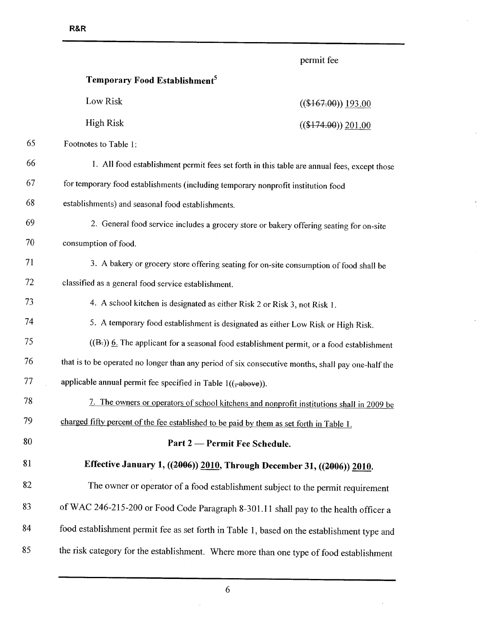permit fee

 $\hat{\mathcal{L}}$ 

|    | Temporary Food Establishment <sup>5</sup>                                         |                                                                                                    |
|----|-----------------------------------------------------------------------------------|----------------------------------------------------------------------------------------------------|
|    | Low Risk                                                                          | $((\$167.00))$ 193.00                                                                              |
|    | <b>High Risk</b>                                                                  | $((\$174.90))$ 201.00                                                                              |
| 65 | Footnotes to Table 1:                                                             |                                                                                                    |
| 66 |                                                                                   | 1. All food establishment permit fees set forth in this table are annual fees, except those        |
| 67 | for temporary food establishments (including temporary nonprofit institution food |                                                                                                    |
| 68 | establishments) and seasonal food establishments.                                 |                                                                                                    |
| 69 |                                                                                   | 2. General food service includes a grocery store or bakery offering seating for on-site            |
| 70 | consumption of food.                                                              |                                                                                                    |
| 71 |                                                                                   | 3. A bakery or grocery store offering seating for on-site consumption of food shall be             |
| 72 | classified as a general food service establishment.                               |                                                                                                    |
| 73 |                                                                                   | 4. A school kitchen is designated as either Risk 2 or Risk 3, not Risk 1.                          |
| 74 |                                                                                   | 5. A temporary food establishment is designated as either Low Risk or High Risk.                   |
| 75 |                                                                                   | $((B))$ 6. The applicant for a seasonal food establishment permit, or a food establishment         |
| 76 |                                                                                   | that is to be operated no longer than any period of six consecutive months, shall pay one-half the |
| 77 | applicable annual permit fee specified in Table $1((\frac{1}{2}abc)^{2})$ .       |                                                                                                    |
| 78 |                                                                                   | 7. The owners or operators of school kitchens and nonprofit institutions shall in 2009 be          |
| 79 |                                                                                   | charged fifty percent of the fee established to be paid by them as set forth in Table 1.           |
| 80 |                                                                                   | Part 2 — Permit Fee Schedule.                                                                      |
| 81 |                                                                                   | Effective January 1, ((2006)) 2010, Through December 31, ((2006)) 2010.                            |
| 82 |                                                                                   | The owner or operator of a food establishment subject to the permit requirement                    |
| 83 |                                                                                   | of WAC 246-215-200 or Food Code Paragraph 8-301.11 shall pay to the health officer a               |
| 84 |                                                                                   | food establishment permit fee as set forth in Table 1, based on the establishment type and         |
| 85 |                                                                                   | the risk category for the establishment. Where more than one type of food establishment            |

l,

 $\ddot{\phantom{0}}$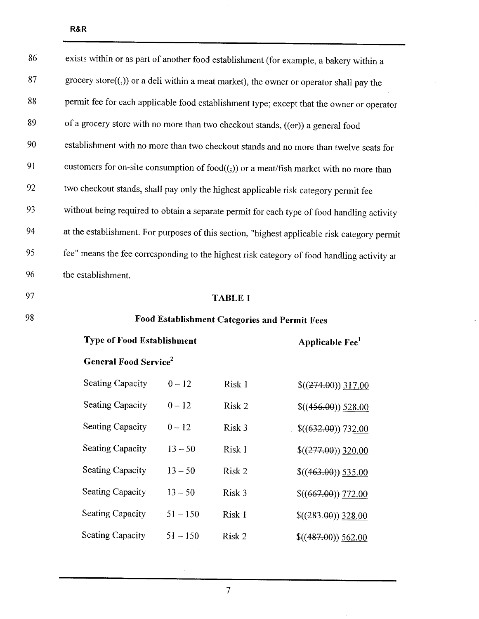| 86 | exists within or as part of another food establishment (for example, a bakery within a                 |            |        |                                                                                              |  |
|----|--------------------------------------------------------------------------------------------------------|------------|--------|----------------------------------------------------------------------------------------------|--|
| 87 | grocery store( $(\overline{y})$ ) or a deli within a meat market), the owner or operator shall pay the |            |        |                                                                                              |  |
| 88 | permit fee for each applicable food establishment type; except that the owner or operator              |            |        |                                                                                              |  |
| 89 | of a grocery store with no more than two checkout stands, ((or)) a general food                        |            |        |                                                                                              |  |
| 90 |                                                                                                        |            |        | establishment with no more than two checkout stands and no more than twelve seats for        |  |
| 91 |                                                                                                        |            |        | customers for on-site consumption of $food((,))$ or a meat/fish market with no more than     |  |
| 92 | two checkout stands, shall pay only the highest applicable risk category permit fee                    |            |        |                                                                                              |  |
| 93 |                                                                                                        |            |        | without being required to obtain a separate permit for each type of food handling activity   |  |
| 94 |                                                                                                        |            |        | at the establishment. For purposes of this section, "highest applicable risk category permit |  |
| 95 |                                                                                                        |            |        | fee" means the fee corresponding to the highest risk category of food handling activity at   |  |
| 96 | the establishment.                                                                                     |            |        |                                                                                              |  |
| 97 | <b>TABLE 1</b>                                                                                         |            |        |                                                                                              |  |
| 98 | Food Establishment Categories and Permit Fees                                                          |            |        |                                                                                              |  |
|    | <b>Type of Food Establishment</b><br>Applicable Fee <sup>1</sup>                                       |            |        |                                                                                              |  |
|    | <b>General Food Service</b> <sup>2</sup>                                                               |            |        |                                                                                              |  |
|    | <b>Seating Capacity</b>                                                                                | $0 - 12$   | Risk 1 | $$(274.00)$ 317.00                                                                           |  |
|    | <b>Seating Capacity</b>                                                                                | $0 - 12$   | Risk 2 | $$(456.00) \underline{528.00}$                                                               |  |
|    | <b>Seating Capacity</b>                                                                                | $0 - 12$   | Risk 3 | $$((632.00))$ 732.00                                                                         |  |
|    | <b>Seating Capacity</b>                                                                                | $13 - 50$  | Risk 1 | $$(277.00)$ 320.00                                                                           |  |
|    | <b>Seating Capacity</b>                                                                                | $13 - 50$  | Risk 2 | $$(463.00)$ 535.00                                                                           |  |
|    | <b>Seating Capacity</b>                                                                                | $13 - 50$  | Risk 3 | \$(667.00) 772.00                                                                            |  |
|    | Seating Capacity                                                                                       | $51 - 150$ | Risk 1 | $$((283.00))$ 328.00                                                                         |  |
|    | <b>Seating Capacity</b>                                                                                | $51 - 150$ | Risk 2 | $$(487.00)$ 562.00                                                                           |  |

l.

 $\overline{a}$ 

ù.

 $\mathcal{L}^{\mathcal{L}}$ 

 $\ddot{\phantom{a}}$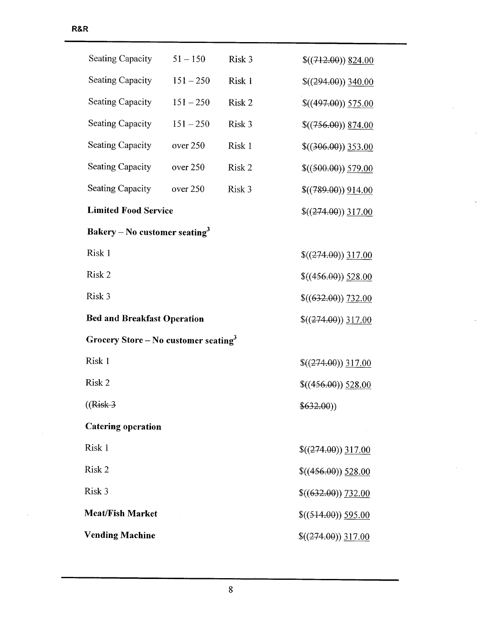| Seating Capacity                                           | $51 - 150$                     | Risk 3 | $$(712.00)$ 824.00   |  |  |
|------------------------------------------------------------|--------------------------------|--------|----------------------|--|--|
| Seating Capacity                                           | $151 - 250$                    | Risk 1 | $$(294.00)$ 340.00   |  |  |
| <b>Seating Capacity</b>                                    | $151 - 250$                    | Risk 2 | \$(497.00) 575.00    |  |  |
| <b>Seating Capacity</b>                                    | $151 - 250$                    | Risk 3 | $$(756.00)$ $$74.00$ |  |  |
| <b>Seating Capacity</b>                                    | over 250                       | Risk 1 | $$(306.00)$ 353.00   |  |  |
| Seating Capacity                                           | over 250                       | Risk 2 | \$((500.00)) 579.00  |  |  |
| <b>Seating Capacity</b>                                    | over 250                       | Risk 3 | \$(789.00) 914.00    |  |  |
| <b>Limited Food Service</b>                                |                                |        | $$(274.00)$ 317.00   |  |  |
| Bakery – No customer seating <sup>3</sup>                  |                                |        |                      |  |  |
| Risk 1                                                     |                                |        | $$((274.00))$ 317.00 |  |  |
| Risk 2                                                     | $$(456.00) \underline{528.00}$ |        |                      |  |  |
| Risk 3<br>\$(632.00) 732.00                                |                                |        |                      |  |  |
| <b>Bed and Breakfast Operation</b><br>$$((274.00))$ 317.00 |                                |        |                      |  |  |
| Grocery Store – No customer seating <sup>3</sup>           |                                |        |                      |  |  |
| Risk 1                                                     |                                |        | $$(274.00)$ 317.00   |  |  |
| Risk 2                                                     |                                |        | \$(456.00) 528.00    |  |  |
| $((Risk-3)$                                                |                                |        | \$632.00)            |  |  |
| <b>Catering operation</b>                                  |                                |        |                      |  |  |
| Risk 1                                                     |                                |        | $$(274.00)$ 317.00   |  |  |
| Risk 2<br>$$(456.00)$ $528.00$                             |                                |        |                      |  |  |
| Risk 3<br>\$(632.00) 732.00                                |                                |        |                      |  |  |
| <b>Meat/Fish Market</b><br>\$((514.00)) 595.00             |                                |        |                      |  |  |
| <b>Vending Machine</b>                                     | $$(274.00)$ 317.00             |        |                      |  |  |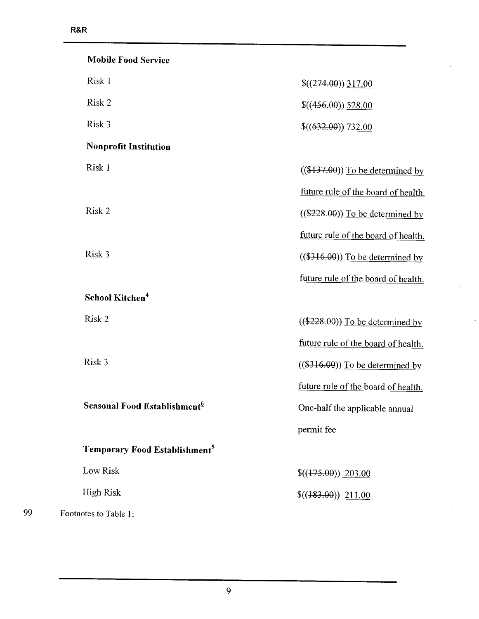|    | <b>Mobile Food Service</b>                |                                     |
|----|-------------------------------------------|-------------------------------------|
|    | Risk 1                                    | $$(274.00)$ 317.00                  |
|    | Risk 2                                    | \$(456.00) 528.00                   |
|    | Risk 3                                    | \$(632.00) 732.00                   |
|    | <b>Nonprofit Institution</b>              |                                     |
|    | Risk 1                                    | $((\$137.00))$ To be determined by  |
|    |                                           | future rule of the board of health. |
|    | Risk 2                                    | $((\$228.00))$ To be determined by  |
|    |                                           | future rule of the board of health. |
|    | Risk 3                                    | $((\$316.00))$ To be determined by  |
|    |                                           | future rule of the board of health. |
|    | School Kitchen <sup>4</sup>               |                                     |
|    | Risk 2                                    | $((\$228.00))$ To be determined by  |
|    |                                           | future rule of the board of health. |
|    | Risk 3                                    | $((\$316.00))$ To be determined by  |
|    |                                           | future rule of the board of health. |
|    | Seasonal Food Establishment <sup>6</sup>  | One-half the applicable annual      |
|    |                                           | permit fee                          |
|    | Temporary Food Establishment <sup>5</sup> |                                     |
|    | Low Risk                                  | \$(175.00) 203.00                   |
|    | High Risk                                 | \$(483.00) 211.00                   |
| 99 | Footnotes to Table 1:                     |                                     |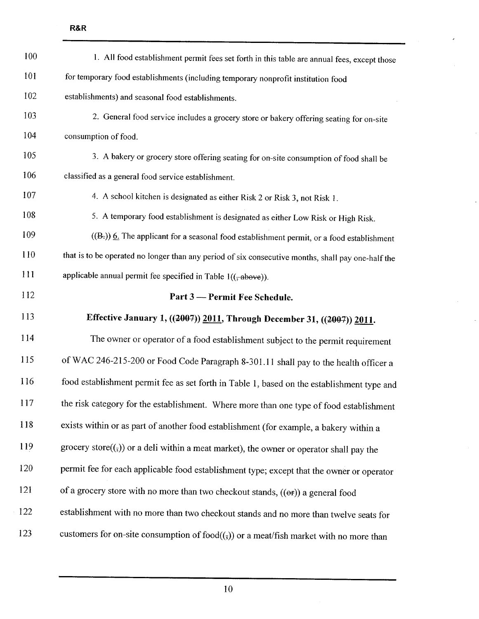| 100        | 1. All food establishment permit fees set forth in this table are annual fees, except those        |
|------------|----------------------------------------------------------------------------------------------------|
| 101        | for temporary food establishments (including temporary nonprofit institution food                  |
| 102        | establishments) and seasonal food establishments.                                                  |
| 103        | 2. General food service includes a grocery store or bakery offering seating for on-site            |
| 104        | consumption of food.                                                                               |
| 105        | 3. A bakery or grocery store offering seating for on-site consumption of food shall be             |
| 106        | classified as a general food service establishment.                                                |
| 107        | 4. A school kitchen is designated as either Risk 2 or Risk 3, not Risk 1.                          |
| 108        | 5. A temporary food establishment is designated as either Low Risk or High Risk.                   |
| 109        | $((B))$ 6. The applicant for a seasonal food establishment permit, or a food establishment         |
| 110        | that is to be operated no longer than any period of six consecutive months, shall pay one-half the |
| <b>111</b> | applicable annual permit fee specified in Table $1((\frac{1}{2}abc)^{2})$ .                        |
|            |                                                                                                    |
| 112        | Part 3 - Permit Fee Schedule.                                                                      |
| 113        | Effective January 1, ((2007)) 2011, Through December 31, ((2007)) 2011.                            |
| 114        | The owner or operator of a food establishment subject to the permit requirement                    |
| 115        | of WAC 246-215-200 or Food Code Paragraph 8-301.11 shall pay to the health officer a               |
| 116        | food establishment permit fee as set forth in Table 1, based on the establishment type and         |
|            | the risk category for the establishment. Where more than one type of food establishment            |
| 117<br>118 | exists within or as part of another food establishment (for example, a bakery within a             |
| 119        | grocery store $((,))$ or a deli within a meat market), the owner or operator shall pay the         |
| 120        | permit fee for each applicable food establishment type; except that the owner or operator          |
| 121        | of a grocery store with no more than two checkout stands, ((or)) a general food                    |
| 122        | establishment with no more than two checkout stands and no more than twelve seats for              |

10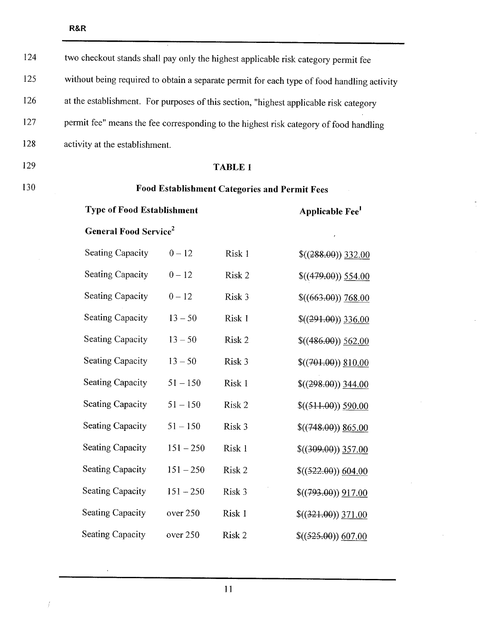124 two checkout stands shall pay only the highest applicable risk category permit fee 125 without being required to obtain a separate permit for each type of food handling activity 126 at the establishment. For purposes of this section, "highest applicable risk category 127 permit fee" means the fee corresponding to the highest risk category of food handling 128 activity at the establishment.

129

#### TABLE 1

130

### Food Establishment Categories and Permit Fees

| <b>Type of Food Establishment</b>        | Applicable Fee' |        |                      |  |  |
|------------------------------------------|-----------------|--------|----------------------|--|--|
| <b>General Food Service</b> <sup>2</sup> |                 |        |                      |  |  |
| <b>Seating Capacity</b>                  | $0 - 12$        | Risk 1 | $$(288.00)$ 332.00   |  |  |
| <b>Seating Capacity</b>                  | $0 - 12$        | Risk 2 | $$(479.00)$ 554.00   |  |  |
| <b>Seating Capacity</b>                  | $0 - 12$        | Risk 3 | $$((663.00))$ 768.00 |  |  |
| <b>Seating Capacity</b>                  | $13 - 50$       | Risk 1 | $$(291.00)$ 336.00   |  |  |
| Seating Capacity                         | $13 - 50$       | Risk 2 | $$(486.00)$ 562.00   |  |  |
| <b>Seating Capacity</b>                  | $13 - 50$       | Risk 3 | \$(401.00) \$10.00   |  |  |
| <b>Seating Capacity</b>                  | $51 - 150$      | Risk 1 | $$(298.00)$ 344.00   |  |  |
| <b>Seating Capacity</b>                  | $51 - 150$      | Risk 2 | \$((511.00)) 590.00  |  |  |
| <b>Seating Capacity</b>                  | $51 - 150$      | Risk 3 | $$(748.00)$ $$(5.00$ |  |  |
| <b>Seating Capacity</b>                  | $151 - 250$     | Risk 1 | $$(309.00)$ 357.00   |  |  |
| <b>Seating Capacity</b>                  | $151 - 250$     | Risk 2 | \$((522.00)) 604.00  |  |  |
| Seating Capacity                         | $151 - 250$     | Risk 3 | $$(793.00)$ $917.00$ |  |  |
| <b>Seating Capacity</b>                  | over 250        | Risk 1 | $$(321.00)$ 371.00   |  |  |
| <b>Seating Capacity</b>                  | over 250        | Risk 2 | \$((525.00)) 607.00  |  |  |

 $\hat{\mathbf{v}}$ 

Ť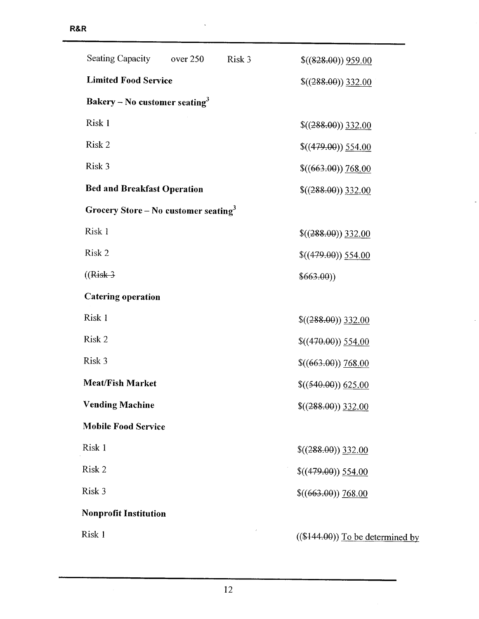| Seating Capacity over 250                        | Risk 3 | \$(828.00) 959.00                  |
|--------------------------------------------------|--------|------------------------------------|
| <b>Limited Food Service</b>                      |        | $\$((288.00))$ 332.00              |
| Bakery – No customer seating <sup>3</sup>        |        |                                    |
| Risk 1                                           |        | $$(288.00)$ 332.00                 |
| Risk 2                                           |        | $\$((479.00))\ 554.00$             |
| Risk 3                                           |        | \$(663.00) 768.00                  |
| <b>Bed and Breakfast Operation</b>               |        | $$(288.00)$ 332.00                 |
| Grocery Store – No customer seating <sup>3</sup> |        |                                    |
| Risk 1                                           |        | $$(288.00)$ 332.00                 |
| Risk 2                                           |        | $$(479.00)$ 554.00                 |
| $((Risk-3)$                                      |        | \$663.00)                          |
| <b>Catering operation</b>                        |        |                                    |
| Risk 1                                           |        | $$(288.00)$ 332.00                 |
| Risk 2                                           |        | \$(470.00) 554.00                  |
| Risk 3                                           |        | \$(663.00) 768.00                  |
| <b>Meat/Fish Market</b>                          |        | \$((540.00)) 625.00                |
| <b>Vending Machine</b>                           |        | $$(288.00)$ 332.00                 |
| <b>Mobile Food Service</b>                       |        |                                    |
| Risk 1                                           |        | $$(288.00)$ 332.00                 |
| Risk 2                                           |        | \$(479.00) 554.00                  |
| Risk 3                                           |        | \$(663.00) 768.00                  |
| <b>Nonprofit Institution</b>                     |        |                                    |
| Risk 1                                           |        | $((\$144.00))$ To be determined by |

 $\overline{a}$ 

 $\ddot{\phantom{a}}$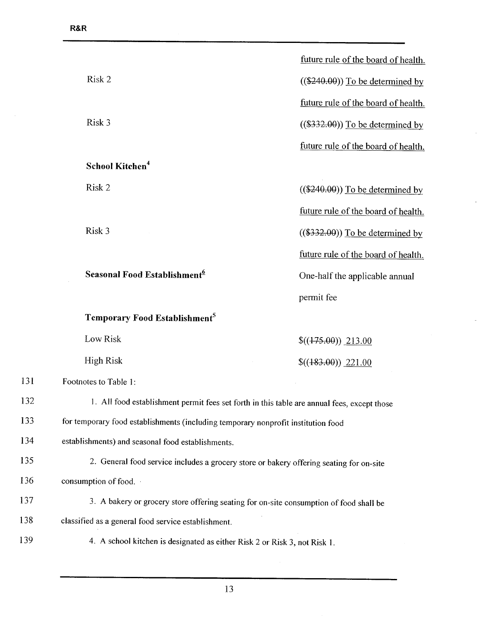|     |                                                                                             | future rule of the board of health. |
|-----|---------------------------------------------------------------------------------------------|-------------------------------------|
|     | Risk 2                                                                                      | $((\$240.00))$ To be determined by  |
|     |                                                                                             | future rule of the board of health. |
|     | Risk 3                                                                                      | $((\$332.00))$ To be determined by  |
|     |                                                                                             | future rule of the board of health. |
|     | School Kitchen <sup>4</sup>                                                                 |                                     |
|     | Risk 2                                                                                      | $((\$240.00))$ To be determined by  |
|     |                                                                                             | future rule of the board of health. |
|     | Risk 3                                                                                      | $((\$332.00))$ To be determined by  |
|     |                                                                                             | future rule of the board of health. |
|     | Seasonal Food Establishment <sup>6</sup>                                                    | One-half the applicable annual      |
|     |                                                                                             | permit fee                          |
|     | Temporary Food Establishment <sup>5</sup>                                                   |                                     |
|     | Low Risk                                                                                    | $$(475.00)$ 213.00                  |
|     | <b>High Risk</b>                                                                            | \$(483.00) 221.00                   |
| 131 | Footnotes to Table 1:                                                                       |                                     |
| 132 | 1. All food establishment permit fees set forth in this table are annual fees, except those |                                     |
| 133 | for temporary food establishments (including temporary nonprofit institution food           |                                     |
| 134 | establishments) and seasonal food establishments.                                           |                                     |
| 135 | 2. General food service includes a grocery store or bakery offering seating for on-site     |                                     |
| 136 | consumption of food.                                                                        |                                     |
| 137 | 3. A bakery or grocery store offering seating for on-site consumption of food shall be      |                                     |
| 138 | classified as a general food service establishment.                                         |                                     |
| 139 | 4. A school kitchen is designated as either Risk 2 or Risk 3, not Risk 1.                   |                                     |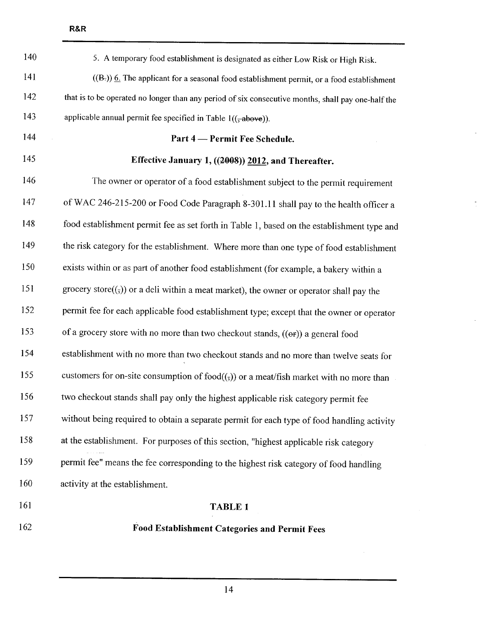| 140 | 5. A temporary food establishment is designated as either Low Risk or High Risk.                                            |
|-----|-----------------------------------------------------------------------------------------------------------------------------|
| 141 | $((B))$ 6. The applicant for a seasonal food establishment permit, or a food establishment                                  |
| 142 | that is to be operated no longer than any period of six consecutive months, shall pay one-half the                          |
| 143 | applicable annual permit fee specified in Table $1((\frac{1}{2}above))$ .                                                   |
| 144 | Part 4 – Permit Fee Schedule.                                                                                               |
| 145 | Effective January 1, ((2008)) 2012, and Thereafter.                                                                         |
| 146 | The owner or operator of a food establishment subject to the permit requirement                                             |
| 147 | of WAC 246-215-200 or Food Code Paragraph 8-301.11 shall pay to the health officer a                                        |
| 148 | food establishment permit fee as set forth in Table 1, based on the establishment type and                                  |
| 149 | the risk category for the establishment. Where more than one type of food establishment                                     |
| 150 | exists within or as part of another food establishment (for example, a bakery within a                                      |
| 151 | grocery store( $(\overline{\cdot},\overline{\cdot})$ ) or a deli within a meat market), the owner or operator shall pay the |
| 152 | permit fee for each applicable food establishment type; except that the owner or operator                                   |
| 153 | of a grocery store with no more than two checkout stands, ((or)) a general food                                             |
| 154 | establishment with no more than two checkout stands and no more than twelve seats for                                       |
| 155 | customers for on-site consumption of food $((\tau))$ or a meat/fish market with no more than                                |
| 156 | two checkout stands shall pay only the highest applicable risk category permit fee                                          |
| 157 | without being required to obtain a separate permit for each type of food handling activity                                  |
| 158 | at the establishment. For purposes of this section, "highest applicable risk category                                       |
| 159 | permit fee" means the fee corresponding to the highest risk category of food handling                                       |
| 160 | activity at the establishment.                                                                                              |
| 161 | <b>TABLE 1</b>                                                                                                              |
|     |                                                                                                                             |

162 Food Establishment Categories and Permit Fees

14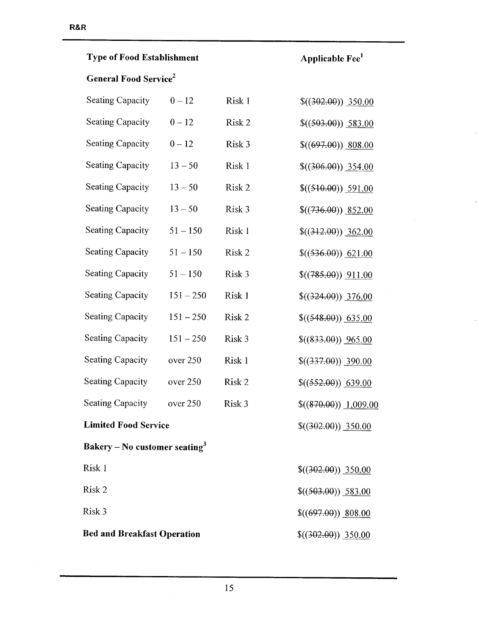# Type of Food Establishment  $\qquad \qquad$  Applicable Fee $^1$

## General Food Service<sup>2</sup>

| Seating Capacity                          | $0 - 12$          | Risk 1 | \$(302.00) 350.00    |  |
|-------------------------------------------|-------------------|--------|----------------------|--|
| <b>Seating Capacity</b>                   | $0 - 12$          | Risk 2 | \$((503.00)) 583.00  |  |
| <b>Seating Capacity</b>                   | $0 - 12$          | Risk 3 | $$(697.00)$ 808.00   |  |
| <b>Seating Capacity</b>                   | $13 - 50$         | Risk 1 | \$(306.00)) 354.00   |  |
| <b>Seating Capacity</b>                   | $13 - 50$         | Risk 2 | \$((510.00)) 591.00  |  |
| <b>Seating Capacity</b>                   | $13 - 50$         | Risk 3 | $$(736.00)$ 852.00   |  |
| <b>Seating Capacity</b>                   | $51 - 150$        | Risk 1 | \$(412.00) 362.00    |  |
| <b>Seating Capacity</b>                   | $51 - 150$        | Risk 2 | \$((536.00)) 621.00  |  |
| <b>Seating Capacity</b>                   | $51 - 150$        | Risk 3 | \$(785.00) 911.00    |  |
| <b>Seating Capacity</b>                   | $151 - 250$       | Risk 1 | \$(324.00) 376.00    |  |
| <b>Seating Capacity</b>                   | $151 - 250$       | Risk 2 | $$((548.00))$ 635.00 |  |
| <b>Seating Capacity</b>                   | $151 - 250$       | Risk 3 | \$(833.00) 965.00    |  |
| <b>Seating Capacity</b>                   | over 250          | Risk 1 | $$(337.00)$ 390.00   |  |
| <b>Seating Capacity</b>                   | over 250          | Risk 2 | $$((552.00))$ 639.00 |  |
| <b>Seating Capacity</b>                   | over 250          | Risk 3 | \$(870.00) 1,009.00  |  |
| <b>Limited Food Service</b>               |                   |        | \$(302.00) 350.00    |  |
| Bakery – No customer seating <sup>3</sup> |                   |        |                      |  |
| Risk 1                                    |                   |        | \$(302.00) 350.00    |  |
| Risk 2                                    |                   |        | \$((503.00)) 583.00  |  |
| Risk 3                                    |                   |        | $$(697.00))$ 808.00  |  |
| <b>Bed and Breakfast Operation</b>        | \$(302.00) 350.00 |        |                      |  |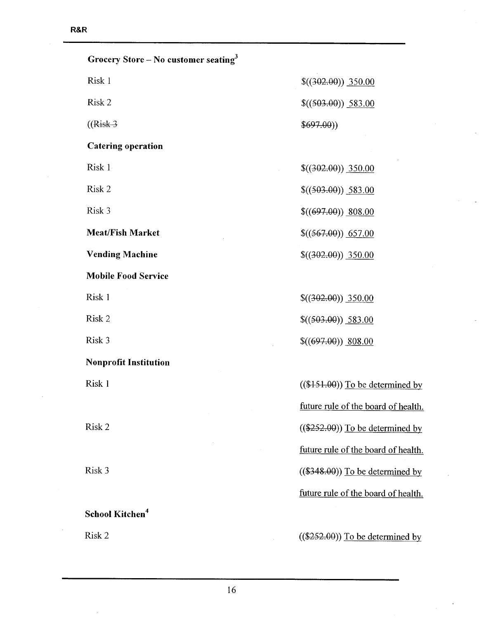| Grocery Store – No customer seating <sup>3</sup> |                                     |
|--------------------------------------------------|-------------------------------------|
| Risk 1                                           | \$(302.00) 350.00                   |
| Risk 2                                           | \$((503.00)) 583.00                 |
| $((Risk-3)$                                      | \$697.00)                           |
| <b>Catering operation</b>                        |                                     |
| Risk 1                                           | $$(302.00)$ 350.00                  |
| Risk 2                                           | \$((503.00)) 583.00                 |
| Risk 3                                           | $$(697.00) \underline{808.00}$      |
| <b>Meat/Fish Market</b>                          | \$((567.00)) 657.00                 |
| <b>Vending Machine</b>                           | $$(402.00)$ 350.00                  |
| <b>Mobile Food Service</b>                       |                                     |
| Risk 1                                           | $$(302.00)$ 350.00                  |
| Risk 2                                           | \$((503.00)) 583.00                 |
| Risk 3                                           | $$(697.00)$ 808.00                  |
| <b>Nonprofit Institution</b>                     |                                     |
| Risk 1                                           | $((\$151.00))$ To be determined by  |
|                                                  | future rule of the board of health. |
| Risk 2                                           | $((\$252.00))$ To be determined by  |
|                                                  | future rule of the board of health. |
| Risk 3                                           | $((\$348.00))$ To be determined by  |
|                                                  | future rule of the board of health. |
| School Kitchen <sup>4</sup>                      |                                     |

Risk 2 ((\$252.00)) To be determined by

 $\ddot{\phantom{0}}$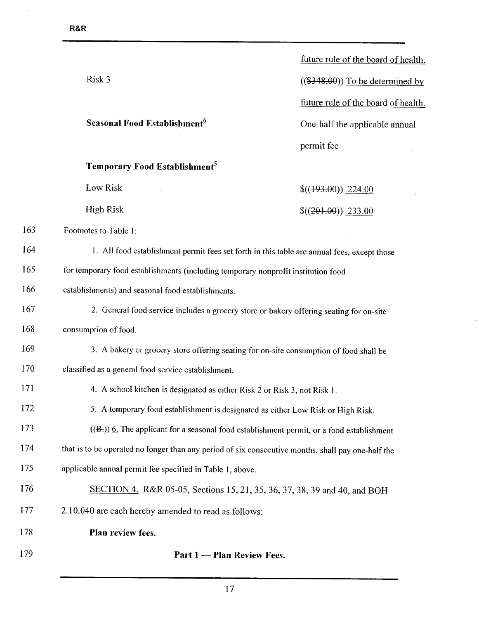$168$ 

178

179

|     |                                                                                                    | future rule of the board of health. |
|-----|----------------------------------------------------------------------------------------------------|-------------------------------------|
|     | Risk 3                                                                                             | $((\$348.00))$ To be determined by  |
|     |                                                                                                    | future rule of the board of health. |
|     | Seasonal Food Establishment <sup>6</sup>                                                           | One-half the applicable annual      |
|     |                                                                                                    | permit fee                          |
|     | Temporary Food Establishment <sup>5</sup>                                                          |                                     |
|     | Low Risk                                                                                           | \$(493.00) 224.00                   |
|     | <b>High Risk</b>                                                                                   | \$(201.00) 233.00                   |
| 163 | Footnotes to Table 1:                                                                              |                                     |
| 164 | 1. All food establishment permit fees set forth in this table are annual fees, except those        |                                     |
| 165 | for temporary food establishments (including temporary nonprofit institution food                  |                                     |
| 166 | establishments) and seasonal food establishments.                                                  |                                     |
| 167 | 2. General food service includes a grocery store or bakery offering seating for on-site            |                                     |
| 168 | consumption of food.                                                                               |                                     |
| 169 | 3. A bakery or grocery store offering seating for on-site consumption of food shall be             |                                     |
| 170 | classified as a general food service establishment.                                                |                                     |
| 171 | 4. A school kitchen is designated as either Risk 2 or Risk 3, not Risk 1.                          |                                     |
| 172 | 5. A temporary food establishment is designated as either Low Risk or High Risk.                   |                                     |
| 173 | $((Bz))$ 6. The applicant for a seasonal food establishment permit, or a food establishment        |                                     |
| 174 | that is to be operated no longer than any period of six consecutive months, shall pay one-half the |                                     |
| 175 | applicable annual permit fee specified in Table 1, above.                                          |                                     |
| 176 | SECTION 4. R&R 05-05, Sections 15, 21, 35, 36, 37, 38, 39 and 40, and BOH                          |                                     |
| 177 | 2.10.040 are each hereby amended to read as follows:                                               |                                     |
| 178 | Plan review fees.                                                                                  |                                     |
| 179 | Part 1 - Plan Review Fees.                                                                         |                                     |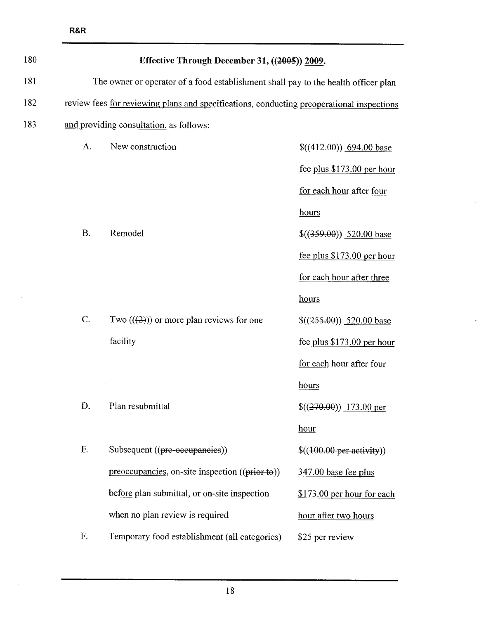| 180 | Effective Through December 31, ((2005)) 2009. |                                                                                           |                             |
|-----|-----------------------------------------------|-------------------------------------------------------------------------------------------|-----------------------------|
| 181 |                                               | The owner or operator of a food establishment shall pay to the health officer plan        |                             |
| 182 |                                               | review fees for reviewing plans and specifications, conducting preoperational inspections |                             |
| 183 |                                               | and providing consultation, as follows:                                                   |                             |
|     | A.                                            | New construction                                                                          | $((412.00))$ 694.00 base    |
|     |                                               |                                                                                           | fee plus $$173.00$ per hour |
|     |                                               |                                                                                           | for each hour after four    |
|     |                                               |                                                                                           | hours                       |
|     | <b>B.</b>                                     | Remodel                                                                                   | \$(359.00) 520.00 base      |
|     |                                               |                                                                                           | fee plus \$173.00 per hour  |
|     |                                               |                                                                                           | for each hour after three   |
|     |                                               |                                                                                           | hours                       |
|     | C.                                            | Two $((2))$ or more plan reviews for one                                                  | $$(255.00)$ 520.00 base     |
|     |                                               | facility                                                                                  | fee plus \$173.00 per hour  |
|     |                                               |                                                                                           | for each hour after four    |
|     |                                               |                                                                                           | hours                       |
|     | D.                                            | Plan resubmittal                                                                          | $((270.00))$ 173.00 per     |
|     |                                               |                                                                                           | hour                        |
|     | E.                                            | Subsequent ((pre-occupancies))                                                            | \$((100.00 per activity))   |
|     |                                               | $preoccupancies, on-site inspection ((prior to))$                                         | 347.00 base fee plus        |
|     |                                               | before plan submittal, or on-site inspection                                              | \$173.00 per hour for each  |
|     |                                               | when no plan review is required                                                           | hour after two hours        |
|     | F.                                            | Temporary food establishment (all categories)                                             | \$25 per review             |

J.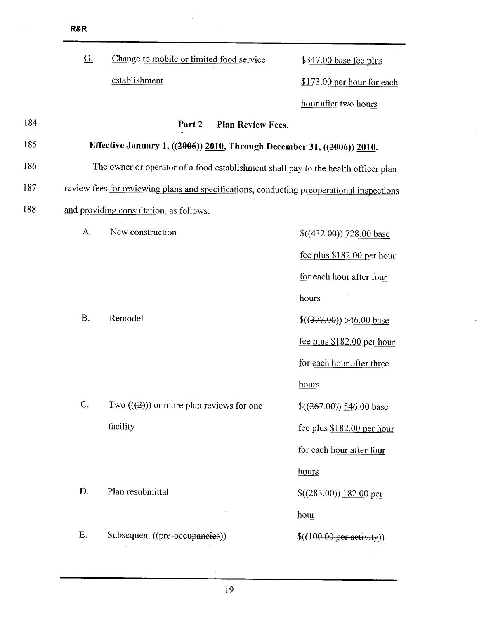|     | <b>R&amp;R</b> |                                                                                           |                             |
|-----|----------------|-------------------------------------------------------------------------------------------|-----------------------------|
|     | G.             | Change to mobile or limited food service                                                  | $$347.00$ base fee plus     |
|     |                | establishment                                                                             | \$173.00 per hour for each  |
|     |                |                                                                                           | hour after two hours        |
| 184 |                | Part 2 - Plan Review Fees.                                                                |                             |
| 185 |                | Effective January 1, ((2006)) 2010, Through December 31, ((2006)) 2010.                   |                             |
| 186 |                | The owner or operator of a food establishment shall pay to the health officer plan        |                             |
| 187 |                | review fees for reviewing plans and specifications, conducting preoperational inspections |                             |
| 188 |                | and providing consultation, as follows:                                                   |                             |
|     | A.             | New construction                                                                          | $$(432.00)$ 728.00 base     |
|     |                |                                                                                           | fee plus $$182.00$ per hour |
|     |                |                                                                                           | for each hour after four    |
|     |                |                                                                                           | hours                       |
|     | <b>B.</b>      | Remodel                                                                                   | $$(377.00)$ 546.00 base     |
|     |                |                                                                                           | fee plus $$182.00$ per hour |
|     |                |                                                                                           | for each hour after three   |
|     |                |                                                                                           | hours                       |
|     | C.             | Two $((2))$ or more plan reviews for one                                                  | $$(267.00)$ 546.00 base     |
|     |                | facility                                                                                  | fee plus \$182.00 per hour  |
|     |                |                                                                                           | for each hour after four    |
|     |                |                                                                                           | hours                       |
|     | D.             | Plan resubmittal                                                                          | $\$((283.00))$ 182.00 per   |
|     |                |                                                                                           | hour                        |
|     | E.             | Subsequent ((pre-occupancies))                                                            | \$((100.00 per activity))   |
|     |                |                                                                                           |                             |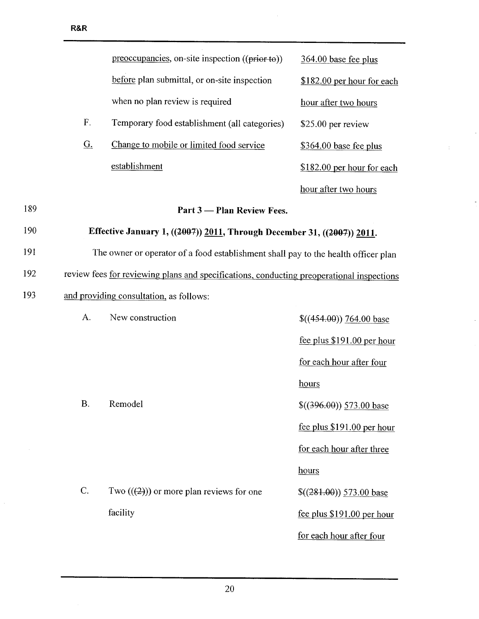l.

|     |                   | preoccupancies, on-site inspection ((prior to))                                           | $364.00$ base fee plus      |
|-----|-------------------|-------------------------------------------------------------------------------------------|-----------------------------|
|     |                   | before plan submittal, or on-site inspection                                              | \$182.00 per hour for each  |
|     |                   | when no plan review is required                                                           | hour after two hours        |
|     | F.                | Temporary food establishment (all categories)                                             | \$25.00 per review          |
|     | $\underline{G}$ . | Change to mobile or limited food service                                                  | $$364.00$ base fee plus     |
|     |                   | establishment                                                                             | \$182.00 per hour for each  |
|     |                   |                                                                                           | hour after two hours        |
| 189 |                   | Part 3 — Plan Review Fees.                                                                |                             |
| 190 |                   | Effective January 1, ((2007)) 2011, Through December 31, ((2007)) 2011.                   |                             |
| 191 |                   | The owner or operator of a food establishment shall pay to the health officer plan        |                             |
| 192 |                   | review fees for reviewing plans and specifications, conducting preoperational inspections |                             |
| 193 |                   | and providing consultation, as follows:                                                   |                             |
|     | A.                | New construction                                                                          | $\$(454.00)$ 764.00 base    |
|     |                   |                                                                                           | fee plus \$191.00 per hour  |
|     |                   |                                                                                           | for each hour after four    |
|     |                   |                                                                                           | hours                       |
|     | <b>B.</b>         | Remodel                                                                                   | $\$((396.00))$ 573.00 base  |
|     |                   |                                                                                           | fee plus \$191.00 per hour  |
|     |                   |                                                                                           | for each hour after three   |
|     |                   |                                                                                           | hours                       |
|     | C.                | Two $((2))$ or more plan reviews for one                                                  | $$(281.00)$ 573.00 base     |
|     |                   | facility                                                                                  | fee plus $$191.00$ per hour |
|     |                   |                                                                                           | for each hour after four    |

 $\bar{\mathcal{A}}$ 

÷,

 $\Delta$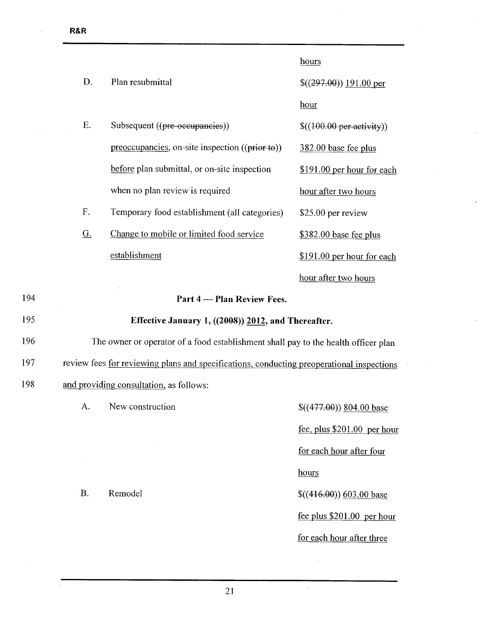$\hat{\boldsymbol{\beta}}$ 

|     |           |                                                                                           | hours                        |
|-----|-----------|-------------------------------------------------------------------------------------------|------------------------------|
|     | D.        | Plan resubmittal                                                                          | \$(297.00) 191.00 per        |
|     |           |                                                                                           | hour                         |
|     | E.        | Subsequent ((pre-occupancies))                                                            | \$((100.00 per activity))    |
|     |           | preoccupancies, on-site inspection ((prior to))                                           | 382.00 base fee plus         |
|     |           | before plan submittal, or on-site inspection                                              | \$191.00 per hour for each   |
|     |           | when no plan review is required                                                           | hour after two hours         |
|     | F.        | Temporary food establishment (all categories)                                             | \$25.00 per review           |
|     | <u>G.</u> | Change to mobile or limited food service                                                  | $$382.00$ base fee plus      |
|     |           | establishment                                                                             | \$191.00 per hour for each   |
|     |           |                                                                                           | hour after two hours         |
| 194 |           | Part 4 - Plan Review Fees.                                                                |                              |
| 195 |           | Effective January 1, ((2008)) 2012, and Thereafter.                                       |                              |
| 196 |           | The owner or operator of a food establishment shall pay to the health officer plan        |                              |
| 197 |           | review fees for reviewing plans and specifications, conducting preoperational inspections |                              |
| 198 |           | and providing consultation, as follows:                                                   |                              |
|     | A.        | New construction                                                                          | $$(477.00)$ $$04.00$ base    |
|     |           |                                                                                           | fee, plus \$201.00 per hour  |
|     |           |                                                                                           | for each hour after four     |
|     |           |                                                                                           | hours                        |
|     | B.        | Remodel                                                                                   | $\$((416.00))\,603.00\,base$ |
|     |           |                                                                                           | fee plus \$201.00 per hour   |
|     |           |                                                                                           | for each hour after three    |

 $\bar{z}$ 

 $\hat{\boldsymbol{\theta}}$ 

 $\hat{\boldsymbol{\gamma}}$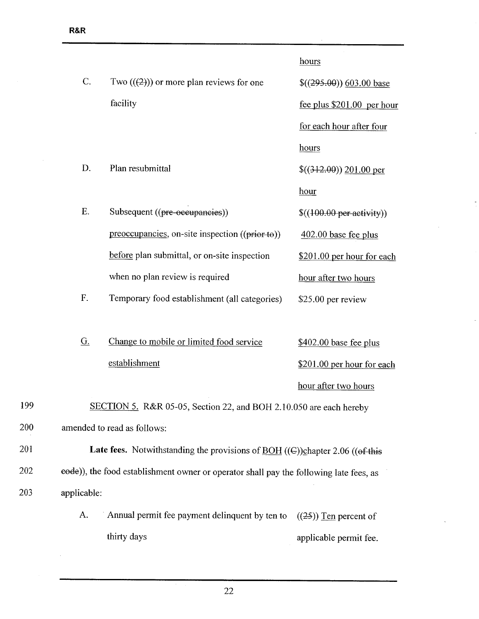$200$ 

203 applicable:

 $\bar{\mathcal{A}}$ 

|     |                   |                                                                                                                      | hours                       |
|-----|-------------------|----------------------------------------------------------------------------------------------------------------------|-----------------------------|
|     | C.                | Two $((2))$ or more plan reviews for one                                                                             | \$(295.00) 603.00 base      |
|     |                   | facility                                                                                                             | fee plus $$201.00$ per hour |
|     |                   |                                                                                                                      | for each hour after four    |
|     |                   |                                                                                                                      | hours                       |
|     | D.                | Plan resubmittal                                                                                                     | $\$(312.00)$ 201.00 per     |
|     |                   |                                                                                                                      | hour                        |
|     | E.                | Subsequent ((pre-occupancies))                                                                                       | \$((100.00 per activity))   |
|     |                   | preoccupancies, on-site inspection ((prior to))                                                                      | $402.00$ base fee plus      |
|     |                   | before plan submittal, or on-site inspection                                                                         | \$201.00 per hour for each  |
|     |                   | when no plan review is required                                                                                      | hour after two hours        |
|     | F.                | Temporary food establishment (all categories)                                                                        | \$25.00 per review          |
|     |                   |                                                                                                                      |                             |
|     | $\underline{G}$ . | Change to mobile or limited food service                                                                             | $$402.00$ base fee plus     |
|     |                   | establishment                                                                                                        | \$201.00 per hour for each  |
|     |                   |                                                                                                                      | hour after two hours        |
| 199 |                   | SECTION 5. R&R 05-05, Section 22, and BOH 2.10.050 are each hereby                                                   |                             |
| 200 |                   | amended to read as follows:                                                                                          |                             |
| 201 |                   | <b>Late fees.</b> Notwithstanding the provisions of $\underline{BOH}$ (( $\Theta$ )) chapter 2.06 (( $\Theta$ f this |                             |
| 202 |                   | eode)), the food establishment owner or operator shall pay the following late fees, as                               |                             |
| 203 | applicable:       |                                                                                                                      |                             |
|     | A.                | Annual permit fee payment delinquent by ten to                                                                       | $((25))$ Ten percent of     |
|     |                   | thirty days                                                                                                          | applicable permit fee.      |

J.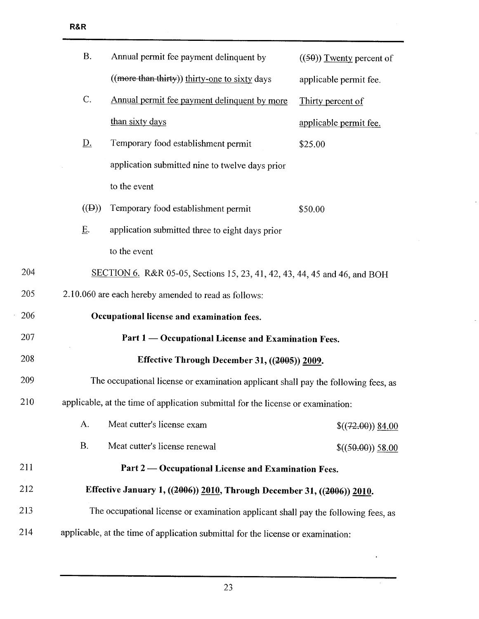R&R

| C.              | Annual permit fee payment delinquent by more    | Thirty percent of      |
|-----------------|-------------------------------------------------|------------------------|
|                 | than sixty days                                 | applicable permit fee. |
| D.              | Temporary food establishment permit             | \$25.00                |
|                 | application submitted nine to twelve days prior |                        |
|                 | to the event                                    |                        |
| $((\biguplus))$ | Temporary food establishment permit             | \$50.00                |
| Ε.              | application submitted three to eight days prior |                        |

to the event

- 204 SECTION 6. R&R 05-05, Sections 15, 23, 41, 42, 43, 44, 45 and 46, and BOH
- 205 2.10.060 are each hereby amended to read as follows:

| 206 | Occupational license and examination fees.                                         |                    |  |
|-----|------------------------------------------------------------------------------------|--------------------|--|
| 207 | Part 1 — Occupational License and Examination Fees.                                |                    |  |
| 208 | Effective Through December 31, ((2005)) 2009.                                      |                    |  |
| 209 | The occupational license or examination applicant shall pay the following fees, as |                    |  |
| 210 | applicable, at the time of application submittal for the license or examination:   |                    |  |
|     | A.<br>Meat cutter's license exam                                                   | $$(72.00)$ $$4.00$ |  |
|     | <b>B.</b><br>Meat cutter's license renewal                                         | \$((50.00)) 58.00  |  |
| 211 | Part 2 — Occupational License and Examination Fees.                                |                    |  |
| 212 | Effective January 1, ((2006)) 2010, Through December 31, ((2006)) 2010.            |                    |  |
| 213 | The occupational license or examination applicant shall pay the following fees, as |                    |  |
| 214 | applicable, at the time of application submittal for the license or examination:   |                    |  |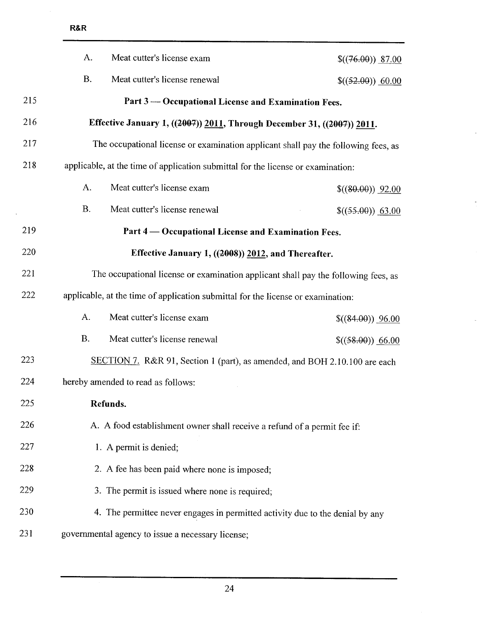|     | A.<br>Meat cutter's license exam                                                   | \$(76.00) 87.00     |
|-----|------------------------------------------------------------------------------------|---------------------|
|     | <b>B.</b><br>Meat cutter's license renewal                                         | $$((52.00))$ 60.00  |
| 215 | Part 3 — Occupational License and Examination Fees.                                |                     |
| 216 | Effective January 1, ((2007)) 2011, Through December 31, ((2007)) 2011.            |                     |
| 217 | The occupational license or examination applicant shall pay the following fees, as |                     |
| 218 | applicable, at the time of application submittal for the license or examination:   |                     |
|     | A.<br>Meat cutter's license exam                                                   | \$(80.00) 92.00     |
|     | <b>B.</b><br>Meat cutter's license renewal                                         | $$((55.00))$ 63.00  |
| 219 | Part 4 — Occupational License and Examination Fees.                                |                     |
| 220 | Effective January 1, ((2008)) 2012, and Thereafter.                                |                     |
| 221 | The occupational license or examination applicant shall pay the following fees, as |                     |
| 222 | applicable, at the time of application submittal for the license or examination:   |                     |
|     | A.<br>Meat cutter's license exam                                                   | $((84.00))$ $96.00$ |
|     | <b>B.</b><br>Meat cutter's license renewal                                         | $((58.00))$ 66.00   |
| 223 | SECTION 7. R&R 91, Section 1 (part), as amended, and BOH 2.10.100 are each         |                     |
| 224 | hereby amended to read as follows:                                                 |                     |
| 225 | Refunds.                                                                           |                     |
| 226 | A. A food establishment owner shall receive a refund of a permit fee if:           |                     |
| 227 | 1. A permit is denied;                                                             |                     |
| 228 | 2. A fee has been paid where none is imposed;                                      |                     |
| 229 | 3. The permit is issued where none is required;                                    |                     |
| 230 | 4. The permittee never engages in permitted activity due to the denial by any      |                     |
| 231 | governmental agency to issue a necessary license;                                  |                     |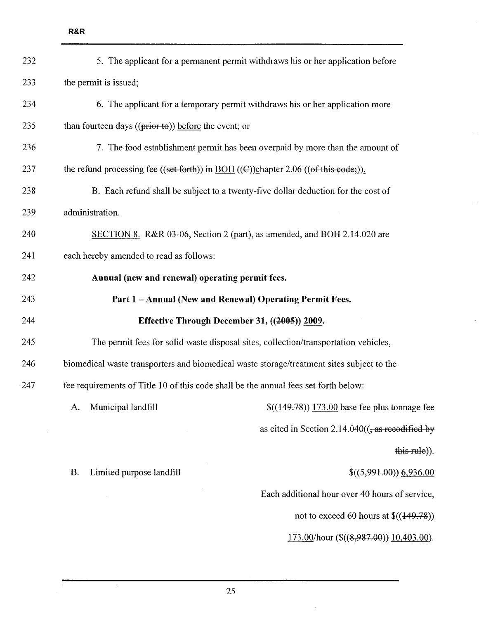| 232 |                                                                                                                 | 5. The applicant for a permanent permit withdraws his or her application before     |
|-----|-----------------------------------------------------------------------------------------------------------------|-------------------------------------------------------------------------------------|
| 233 | the permit is issued;                                                                                           |                                                                                     |
| 234 |                                                                                                                 | 6. The applicant for a temporary permit withdraws his or her application more       |
| 235 | than fourteen days $((prior to))$ before the event; or                                                          |                                                                                     |
| 236 |                                                                                                                 | 7. The food establishment permit has been overpaid by more than the amount of       |
| 237 | the refund processing fee ((set forth)) in $\underline{BOH}$ (( $\in$ ))chapter 2.06 (( $\circ$ f this eode;)). |                                                                                     |
| 238 | B. Each refund shall be subject to a twenty-five dollar deduction for the cost of                               |                                                                                     |
| 239 | administration.                                                                                                 |                                                                                     |
| 240 |                                                                                                                 | SECTION 8. R&R 03-06, Section 2 (part), as amended, and BOH 2.14.020 are            |
| 241 | each hereby amended to read as follows:                                                                         |                                                                                     |
| 242 | Annual (new and renewal) operating permit fees.                                                                 |                                                                                     |
| 243 | Part 1 - Annual (New and Renewal) Operating Permit Fees.                                                        |                                                                                     |
| 244 | Effective Through December 31, ((2005)) 2009.                                                                   |                                                                                     |
| 245 |                                                                                                                 | The permit fees for solid waste disposal sites, collection/transportation vehicles, |
| 246 | biomedical waste transporters and biomedical waste storage/treatment sites subject to the                       |                                                                                     |
| 247 | fee requirements of Title 10 of this code shall be the annual fees set forth below:                             |                                                                                     |
|     | Municipal landfill<br>A.                                                                                        | $$((149.78))$ 173.00 base fee plus tonnage fee                                      |
|     |                                                                                                                 | as cited in Section 2.14.040 $((\frac{1}{2}as \text{ recodified by})$               |
|     |                                                                                                                 | this rule)).                                                                        |
|     | Limited purpose landfill<br><b>B.</b>                                                                           | \$((5,991.00)) 6,936.00                                                             |
|     |                                                                                                                 | Each additional hour over 40 hours of service,                                      |
|     |                                                                                                                 | not to exceed 60 hours at $\$((149.78))$                                            |
|     |                                                                                                                 | $173.00$ /hour (\$((8,987.00)) 10,403.00).                                          |
|     |                                                                                                                 |                                                                                     |

L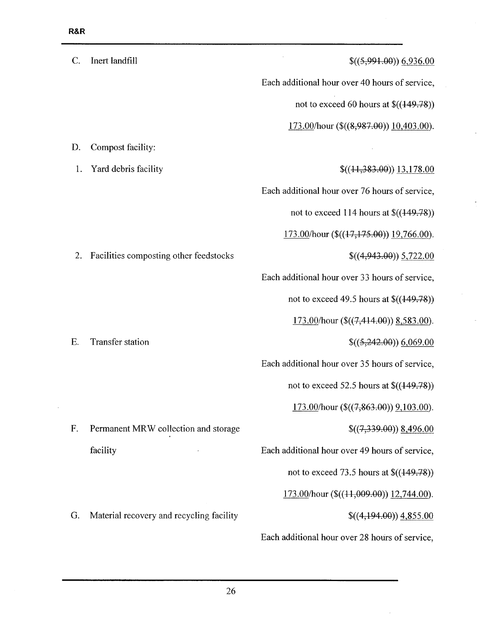i,

| $\mathcal{C}$ . | Inert landfill                           | \$((5,991.00)) 6,936.00                            |
|-----------------|------------------------------------------|----------------------------------------------------|
|                 |                                          | Each additional hour over 40 hours of service,     |
|                 |                                          | not to exceed 60 hours at $$((149.78))$            |
|                 |                                          | 173.00/hour $$(\$(\&,\&987.00)\) 10,403.00)$ .     |
| D.              | Compost facility:                        |                                                    |
| 1.              | Yard debris facility                     | $$(44,383.00)$ 13,178.00                           |
|                 |                                          | Each additional hour over 76 hours of service,     |
|                 |                                          | not to exceed 114 hours at $\$((149.78))$          |
|                 |                                          | $173.00$ /hour (\$(( $17,175.00$ )) $19,766.00$ ). |
| 2.              | Facilities composting other feedstocks   | $$(4,943.00)$ $5,722.00$                           |
|                 |                                          | Each additional hour over 33 hours of service,     |
|                 |                                          | not to exceed 49.5 hours at $\$((149.78))$         |
|                 |                                          | $173.00$ /hour (\$((7,414.00)) 8,583.00).          |
| E.              | Transfer station                         | \$((5,242.00)) 6,069.00                            |
|                 |                                          | Each additional hour over 35 hours of service,     |
|                 |                                          | not to exceed 52.5 hours at $\$((149.78))$         |
|                 |                                          | $173.00$ /hour (\$((7,863.00)) 9,103.00).          |
| F.              | Permanent MRW collection and storage     | $$(7,339,00)$ $$(496.00)$                          |
|                 | facility                                 | Each additional hour over 49 hours of service,     |
|                 |                                          | not to exceed 73.5 hours at $$((149.78))$          |
|                 |                                          | $173.00$ /hour (\$(( $11,009.00$ )) $12,744.00$ ). |
| G.              | Material recovery and recycling facility | $$(4,194.00)$ $4,855.00$                           |

Each additional hour over 28 hours of service,

 $\bar{x}$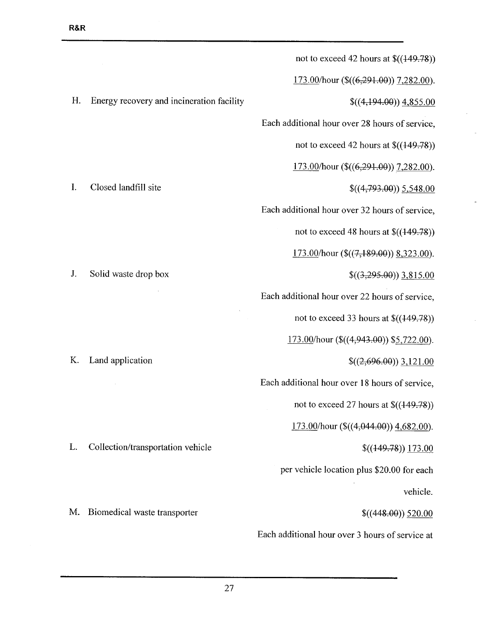|                                           | not to exceed 42 hours at $$((149.78))$           |
|-------------------------------------------|---------------------------------------------------|
| Energy recovery and incineration facility | $173.00$ /hour (\$((6,291.00)) 7,282.00).         |
|                                           | $$(4,194.00)$ $4,855.00$                          |
|                                           | Each additional hour over 28 hours of service,    |
| Closed landfill site                      | not to exceed 42 hours at $\$((149.78))$          |
|                                           | 173.00/hour ( $\((6,291.00)\)$ 7,282.00).         |
|                                           | $$(4,793.00)$ 5,548.00                            |
|                                           | Each additional hour over 32 hours of service,    |
|                                           | not to exceed 48 hours at $$((149.78))$           |
| Solid waste drop box                      | $\frac{173.00}{h}$ our (\$((7,189.00)) 8,323.00). |
|                                           | $$(3,295,00))$ 3,815.00                           |
|                                           | Each additional hour over 22 hours of service,    |
|                                           | not to exceed 33 hours at $\$((449.78))$          |
| Land application                          | $173.00$ /hour (\$((4,943.00)) \$5,722.00).       |
|                                           | $$(2,696.00))$ 3,121.00                           |
|                                           | Each additional hour over 18 hours of service,    |
|                                           | not to exceed 27 hours at $\$((149.78))$          |
| Collection/transportation vehicle         | $173.00$ /hour (\$((4,044.00)) 4,682.00).         |
|                                           | $$(449.78))$ 173.00                               |
|                                           | per vehicle location plus \$20.00 for each        |
| Biomedical waste transporter              | vehicle.                                          |
|                                           | \$(448.00) 520.00                                 |
|                                           | Each additional hour over 3 hours of service at   |
|                                           |                                                   |

 $\hat{\mathcal{L}}$ 

J.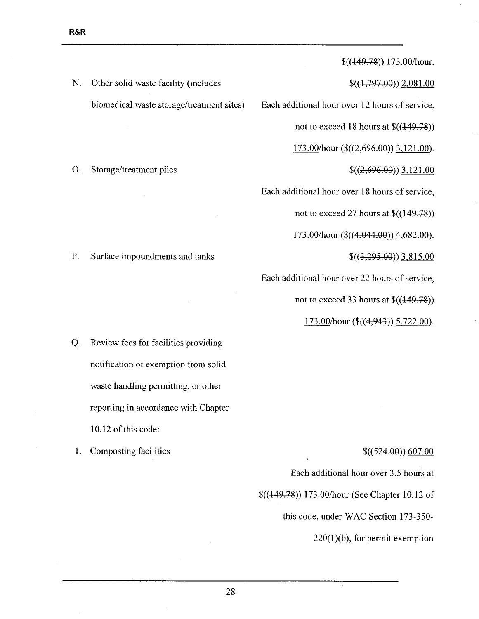N. Other solid waste facility (includes biomedical waste storage/treatment sites)

O. Storage/treatment piles

 $$((149.78))$  173.00/hour.

 $$( (1,797.00) ) 2,081.00$ 

Each additional hour over 12 hours of service,

not to exceed 18 hours at  $\$( (149.78))$ 

173.00/hour (\$((2,696.00)) 3,121.00).

 $$(2,696.00))$  3,121.00

Each additional hour over 18 hours of service,

not to exceed 27 hours at  $\$( (149.78))$ 

 $173.00$ /hour (\$ $((4,044.00))$  4,682.00).

 $$(3,295.00)$ ) 3,815.00

Each additional hour over 22 hours of service,

not to exceed 33 hours at  $\$((149.78))$ 

 $173.00/h$ our (\$ $((4,943))$  5,722.00).

Q. Review fees for facilities providing notification of exemption from solid waste handling permitting, or other reporting in accordance with Chapter 10.12 of this code:

P. Surface impoundments and tanks

1. Composting facilities

 $$((524.00))$  607.00

Each additional hour over 3.5 hours at

\$((119.78)) 173.00/hour (See Chapter 10.12 of

this code, under WAC Section 173-350-

220(1)(b), for permit exemption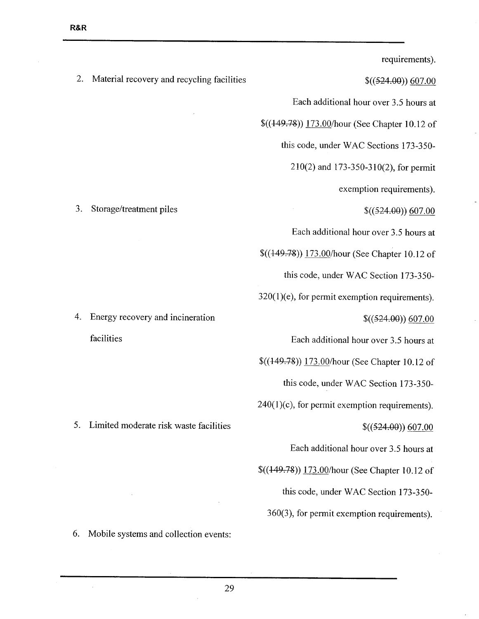$\frac{1}{2}$ 

|    |                                            | requirements).                                    |
|----|--------------------------------------------|---------------------------------------------------|
| 2. | Material recovery and recycling facilities | $$((524.00))$ 607.00                              |
|    |                                            | Each additional hour over 3.5 hours at            |
|    |                                            | \$((149.78)) 173.00/hour (See Chapter 10.12 of    |
|    |                                            | this code, under WAC Sections 173-350-            |
|    |                                            | 210(2) and 173-350-310(2), for permit             |
|    |                                            | exemption requirements).                          |
| 3. | Storage/treatment piles                    | \$((524.00)) 607.00                               |
|    |                                            | Each additional hour over 3.5 hours at            |
|    |                                            | $\$((149.78))$ 173.00/hour (See Chapter 10.12 of  |
|    |                                            | this code, under WAC Section 173-350-             |
|    |                                            | $320(1)(e)$ , for permit exemption requirements). |
| 4. | Energy recovery and incineration           | \$((524.00)) 607.00                               |
|    | facilities                                 | Each additional hour over 3.5 hours at            |
|    |                                            | \$((149.78)) 173.00/hour (See Chapter 10.12 of    |
|    |                                            | this code, under WAC Section 173-350-             |
|    |                                            | $240(1)(c)$ , for permit exemption requirements). |
| 5. | Limited moderate risk waste facilities     | \$((524.00)) 607.00                               |
|    |                                            | Each additional hour over 3.5 hours at            |
|    |                                            | \$((449.78)) 173.00/hour (See Chapter 10.12 of    |
|    |                                            | this code, under WAC Section 173-350-             |
|    |                                            | 360(3), for permit exemption requirements).       |
| 6. | Mobile systems and collection events:      |                                                   |

 $\ddot{\phantom{a}}$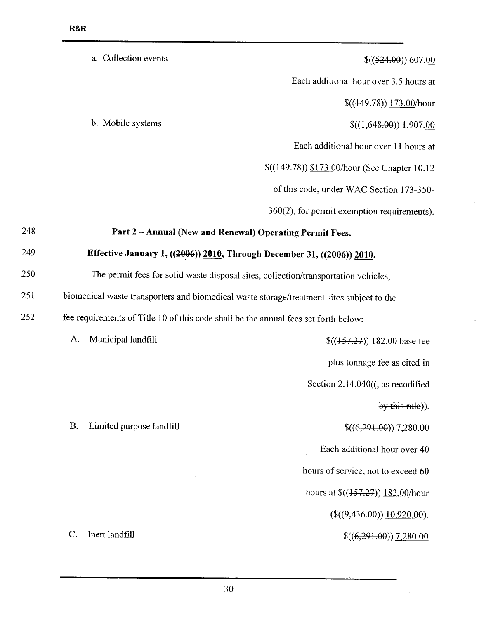|     |                                                                                           | a. Collection events     | \$((524.00)) 607.00                                                                 |
|-----|-------------------------------------------------------------------------------------------|--------------------------|-------------------------------------------------------------------------------------|
|     |                                                                                           |                          | Each additional hour over 3.5 hours at                                              |
|     |                                                                                           |                          | $$(449.78)$ 173.00/hour                                                             |
|     |                                                                                           | b. Mobile systems        | $$(4,648.00)$ 1,907.00                                                              |
|     |                                                                                           |                          | Each additional hour over 11 hours at                                               |
|     |                                                                                           |                          | \$((449.78)) \$173.00/hour (See Chapter 10.12                                       |
|     |                                                                                           |                          | of this code, under WAC Section 173-350-                                            |
|     |                                                                                           |                          | $360(2)$ , for permit exemption requirements).                                      |
| 248 |                                                                                           |                          | Part 2 - Annual (New and Renewal) Operating Permit Fees.                            |
| 249 |                                                                                           |                          | Effective January 1, ((2006)) 2010, Through December 31, ((2006)) 2010.             |
| 250 |                                                                                           |                          | The permit fees for solid waste disposal sites, collection/transportation vehicles, |
| 251 | biomedical waste transporters and biomedical waste storage/treatment sites subject to the |                          |                                                                                     |
| 252 | fee requirements of Title 10 of this code shall be the annual fees set forth below:       |                          |                                                                                     |
|     | A.                                                                                        | Municipal landfill       | $$(457.27)$ 182.00 base fee                                                         |
|     |                                                                                           |                          | plus tonnage fee as cited in                                                        |
|     |                                                                                           |                          | Section 2.14.040 $((, as recodified$                                                |
|     |                                                                                           |                          | by this rule)).                                                                     |
|     | <b>B.</b>                                                                                 | Limited purpose landfill | $$(6,291.00)$ 7,280.00                                                              |
|     |                                                                                           |                          | Each additional hour over 40                                                        |
|     |                                                                                           |                          | hours of service, not to exceed 60                                                  |
|     |                                                                                           |                          | hours at $\frac{\left(\frac{157.27}{182.00}\right)}{182.00}$ hour                   |
|     |                                                                                           |                          | $(\$(9,436.00))$ $10,920.00)$ .                                                     |
|     | C.                                                                                        | Inert landfill           | $$(6,291.00)$ 7,280.00                                                              |
|     |                                                                                           |                          |                                                                                     |

i,

 $\overline{a}$ 

 $\bar{\mathcal{A}}$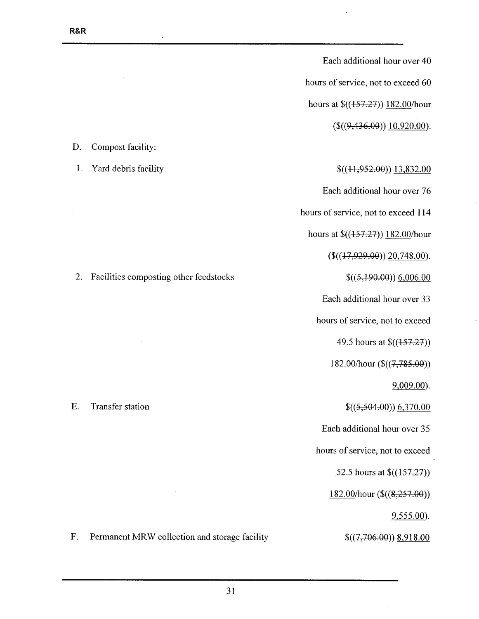Each additional hour over 40 hours of service, not to exceed 60 hours at \$((157.27)) 182.00/hour  $($((9,436.00)) 10,920.00).$ 

 $$( (11, 952.00) ) 13, 832.00$ 

Each additional hour over 76

hours of service, not to exceed 114

hours at  $\frac{\frac{1}{3}(157.27)}{182.00/h}$ 

 $($((17,929.00)) \ 20,748.00).$ 

 $$((5,190.00)) 6,006.00$ 

Each additional hour over 33

hours of service, not to exceed

49.5 hours at \$((157.27))

182.00/hour (\$((7,785.00))

9,009.00).

 $$((5,504.00))$  6,370.00

Each additional hour over 35

hours of service, not to exceed

52.5 hours at \$((157.27))

182.00/hour (\$((8,257.00))

9,555.00).

 $$(7,706.00))$   $§918.00$ 

D. Compost facility:

1. Yard debris facility

2. Facilities composting other feedstocks

F. Permanent MRW collection and storage facility

E. Transfer station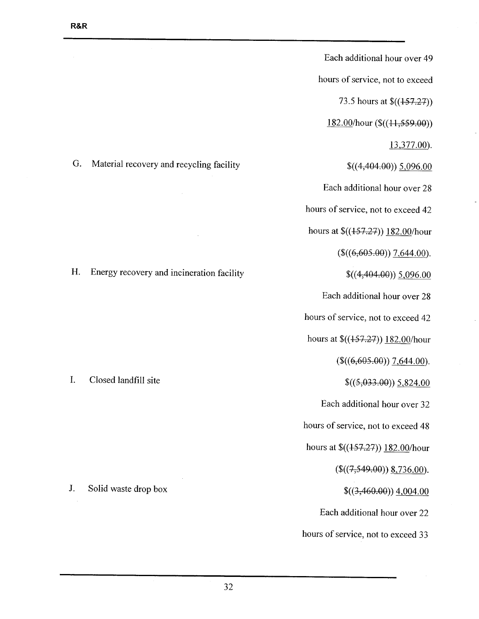Each additional hour over 49 hours of service, not to exceed 73.5 hours at \$((457.27))  $182.00/h$ our (\$ $((11,559.00))$ 13,377.00).  $$(4,404.00)$ )  $5,096.00$ Each additional hour over 28 hours of service, not to exceed 42 hours at \$((457.27)) 182.00/hour  $(\$((6,605.00))$  7,644.00).  $$(4,404,00))$  5,096.00 Each additional hour over 28 hours of service, not to exceed 42 hours at \$((157.27)) 182.00/hour  $(\$((6,605.00))$  7,644.00).  $$((5,033.00)) \underline{5,824.00}]$ Each additional hour over 32 hours of service, not to exceed 48 hours at \$((157.27)) 182.00/hour  $$((7,549.00))$  8,736.00).  $\frac{\{(3,460.00)\}4,004.00}{\{(3,460.00)\}4,004.00}$ Each additional hour over 22 hours of service, not to exceed 33

G. Material recovery and recycling facility

H. Energy recovery and incineration facility

I. Closed landfill site